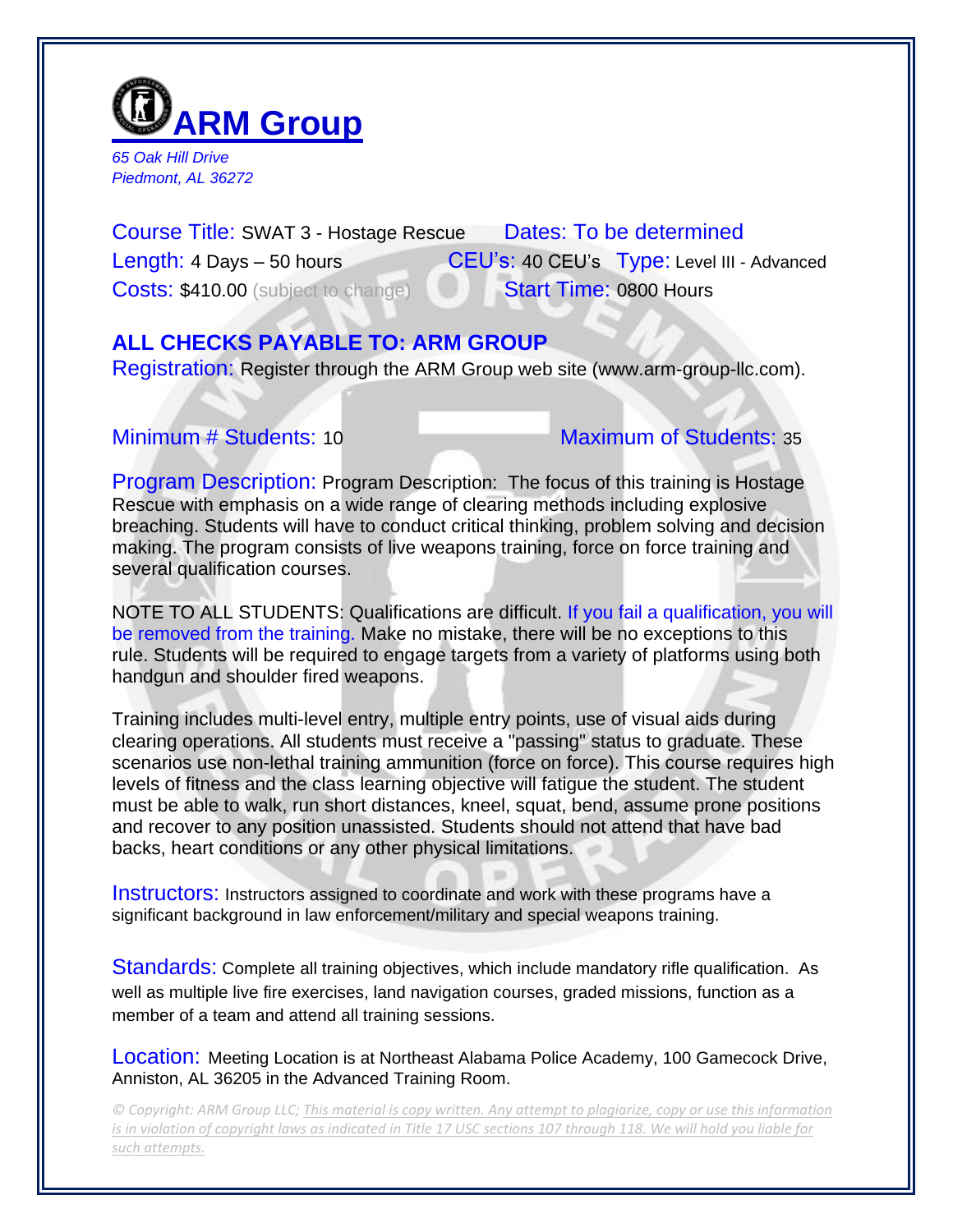

*65 Oak Hill Drive Piedmont, AL 36272*

Course Title: SWAT 3 - Hostage Rescue Dates: To be determined Length: 4 Days – 50 hours **CEU's: 40 CEU's Type: Level III - Advanced** Costs: \$410.00 (subject to change) Start Time: 0800 Hours

## **ALL CHECKS PAYABLE TO: ARM GROUP**

Registration: Register through the ARM Group web site (www.arm-group-llc.com).

Minimum # Students: 10 Maximum of Students: 35

Program Description: Program Description: The focus of this training is Hostage Rescue with emphasis on a wide range of clearing methods including explosive breaching. Students will have to conduct critical thinking, problem solving and decision making. The program consists of live weapons training, force on force training and several qualification courses.

NOTE TO ALL STUDENTS: Qualifications are difficult. If you fail a qualification, you will be removed from the training. Make no mistake, there will be no exceptions to this rule. Students will be required to engage targets from a variety of platforms using both handgun and shoulder fired weapons.

Training includes multi-level entry, multiple entry points, use of visual aids during clearing operations. All students must receive a "passing" status to graduate. These scenarios use non-lethal training ammunition (force on force). This course requires high levels of fitness and the class learning objective will fatigue the student. The student must be able to walk, run short distances, kneel, squat, bend, assume prone positions and recover to any position unassisted. Students should not attend that have bad backs, heart conditions or any other physical limitations.

Instructors: Instructors assigned to coordinate and work with these programs have a significant background in law enforcement/military and special weapons training.

Standards: Complete all training objectives, which include mandatory rifle qualification. As well as multiple live fire exercises, land navigation courses, graded missions, function as a member of a team and attend all training sessions.

Location: Meeting Location is at Northeast Alabama Police Academy, 100 Gamecock Drive, Anniston, AL 36205 in the Advanced Training Room.

*© Copyright: ARM Group LLC; This material is copy written. Any attempt to plagiarize, copy or use this information is in violation of copyright laws as indicated in Title 17 USC sections 107 through 118. We will hold you liable for such attempts.*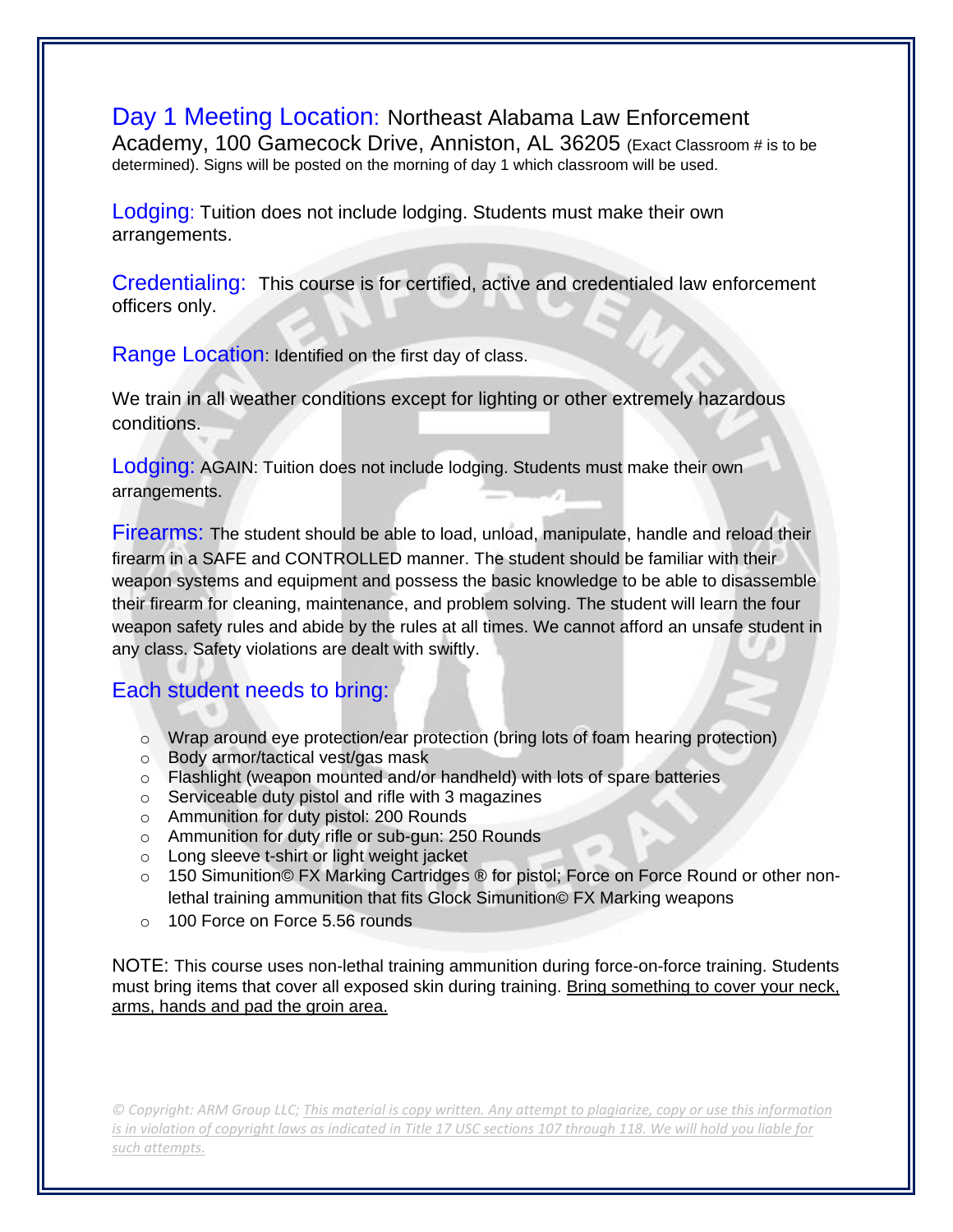Day 1 Meeting Location: Northeast Alabama Law Enforcement Academy, 100 Gamecock Drive, Anniston, AL 36205 (Exact Classroom # is to be determined). Signs will be posted on the morning of day 1 which classroom will be used.

Lodging: Tuition does not include lodging. Students must make their own arrangements.

Credentialing: This course is for certified, active and credentialed law enforcement officers only.

Range Location: Identified on the first day of class.

We train in all weather conditions except for lighting or other extremely hazardous conditions.

Lodging: AGAIN: Tuition does not include lodging. Students must make their own arrangements.

Firearms: The student should be able to load, unload, manipulate, handle and reload their firearm in a SAFE and CONTROLLED manner. The student should be familiar with their weapon systems and equipment and possess the basic knowledge to be able to disassemble their firearm for cleaning, maintenance, and problem solving. The student will learn the four weapon safety rules and abide by the rules at all times. We cannot afford an unsafe student in any class. Safety violations are dealt with swiftly.

## Each student needs to bring:

- o Wrap around eye protection/ear protection (bring lots of foam hearing protection)
- o Body armor/tactical vest/gas mask
- o Flashlight (weapon mounted and/or handheld) with lots of spare batteries
- o Serviceable duty pistol and rifle with 3 magazines
- o Ammunition for duty pistol: 200 Rounds
- o Ammunition for duty rifle or sub-gun: 250 Rounds
- o Long sleeve t-shirt or light weight jacket
- o 150 Simunition© FX Marking Cartridges ® for pistol; Force on Force Round or other nonlethal training ammunition that fits Glock Simunition© FX Marking weapons
- $\circ$  100 Force on Force 5.56 rounds

NOTE: This course uses non-lethal training ammunition during force-on-force training. Students must bring items that cover all exposed skin during training. Bring something to cover your neck, arms, hands and pad the groin area.

*© Copyright: ARM Group LLC; This material is copy written. Any attempt to plagiarize, copy or use this information is in violation of copyright laws as indicated in Title 17 USC sections 107 through 118. We will hold you liable for such attempts.*